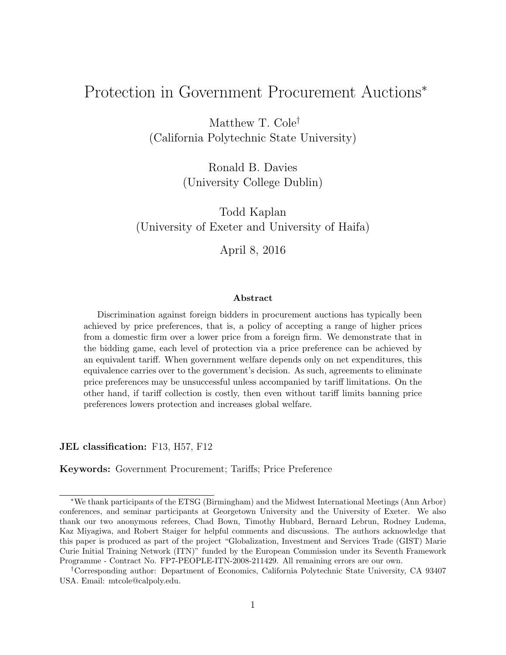# Protection in Government Procurement Auctions*<sup>∗</sup>*

Matthew T. Cole*†* (California Polytechnic State University)

> Ronald B. Davies (University College Dublin)

Todd Kaplan (University of Exeter and University of Haifa)

April 8, 2016

#### **Abstract**

Discrimination against foreign bidders in procurement auctions has typically been achieved by price preferences, that is, a policy of accepting a range of higher prices from a domestic firm over a lower price from a foreign firm. We demonstrate that in the bidding game, each level of protection via a price preference can be achieved by an equivalent tariff. When government welfare depends only on net expenditures, this equivalence carries over to the government's decision. As such, agreements to eliminate price preferences may be unsuccessful unless accompanied by tariff limitations. On the other hand, if tariff collection is costly, then even without tariff limits banning price preferences lowers protection and increases global welfare.

#### **JEL classification:** F13, H57, F12

**Keywords:** Government Procurement; Tariffs; Price Preference

*<sup>∗</sup>*We thank participants of the ETSG (Birmingham) and the Midwest International Meetings (Ann Arbor) conferences, and seminar participants at Georgetown University and the University of Exeter. We also thank our two anonymous referees, Chad Bown, Timothy Hubbard, Bernard Lebrun, Rodney Ludema, Kaz Miyagiwa, and Robert Staiger for helpful comments and discussions. The authors acknowledge that this paper is produced as part of the project "Globalization, Investment and Services Trade (GIST) Marie Curie Initial Training Network (ITN)" funded by the European Commission under its Seventh Framework Programme - Contract No. FP7-PEOPLE-ITN-2008-211429. All remaining errors are our own.

*<sup>†</sup>*Corresponding author: Department of Economics, California Polytechnic State University, CA 93407 USA. Email: mtcole@calpoly.edu.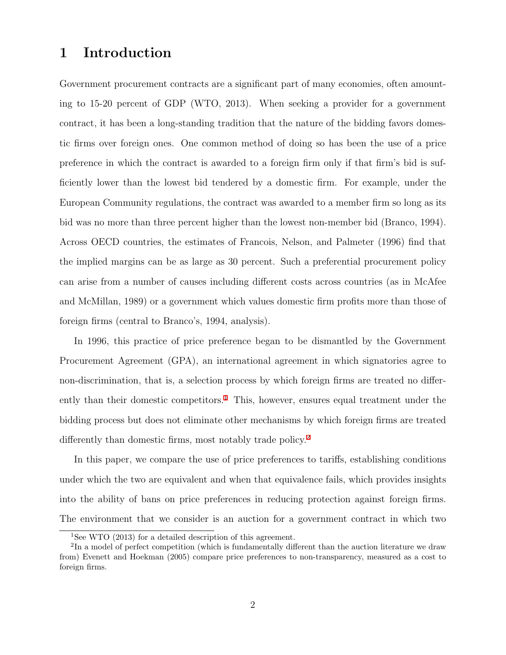# **1 Introduction**

Government procurement contracts are a significant part of many economies, often amounting to 15-20 percent of GDP (WTO, 2013). When seeking a provider for a government contract, it has been a long-standing tradition that the nature of the bidding favors domestic firms over foreign ones. One common method of doing so has been the use of a price preference in which the contract is awarded to a foreign firm only if that firm's bid is sufficiently lower than the lowest bid tendered by a domestic firm. For example, under the European Community regulations, the contract was awarded to a member firm so long as its bid was no more than three percent higher than the lowest non-member bid (Branco, 1994). Across OECD countries, the estimates of Francois, Nelson, and Palmeter (1996) find that the implied margins can be as large as 30 percent. Such a preferential procurement policy can arise from a number of causes including different costs across countries (as in McAfee and McMillan, 1989) or a government which values domestic firm profits more than those of foreign firms (central to Branco's, 1994, analysis).

In 1996, this practice of price preference began to be dismantled by the Government Procurement Agreement (GPA), an international agreement in which signatories agree to non-discrimination, that is, a selection process by which foreign firms are treated no differ-ently than their domestic competitors.<sup>[1](#page-1-0)</sup> This, however, ensures equal treatment under the bidding process but does not eliminate other mechanisms by which foreign firms are treated differently than domestic firms, most notably trade policy.<sup>[2](#page-1-1)</sup>

In this paper, we compare the use of price preferences to tariffs, establishing conditions under which the two are equivalent and when that equivalence fails, which provides insights into the ability of bans on price preferences in reducing protection against foreign firms. The environment that we consider is an auction for a government contract in which two

<span id="page-1-1"></span><span id="page-1-0"></span><sup>&</sup>lt;sup>1</sup>See WTO (2013) for a detailed description of this agreement.

<sup>&</sup>lt;sup>2</sup>In a model of perfect competition (which is fundamentally different than the auction literature we draw from) Evenett and Hoekman (2005) compare price preferences to non-transparency, measured as a cost to foreign firms.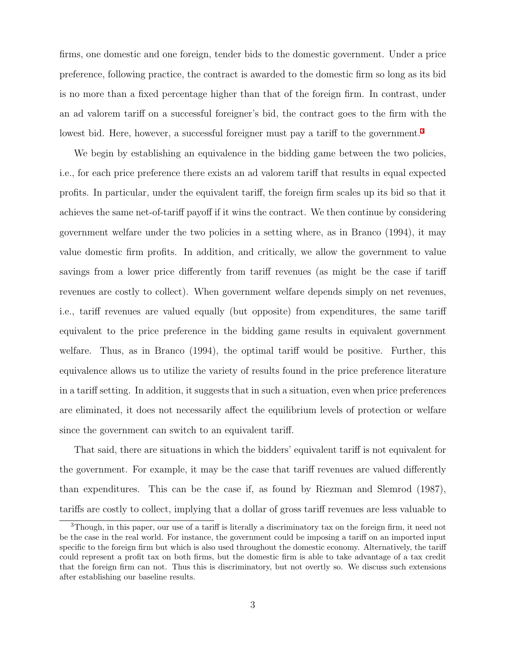firms, one domestic and one foreign, tender bids to the domestic government. Under a price preference, following practice, the contract is awarded to the domestic firm so long as its bid is no more than a fixed percentage higher than that of the foreign firm. In contrast, under an ad valorem tariff on a successful foreigner's bid, the contract goes to the firm with the lowest bid. Here, however, a successful foreigner must pay a tariff to the government.<sup>[3](#page-2-0)</sup>

We begin by establishing an equivalence in the bidding game between the two policies, i.e., for each price preference there exists an ad valorem tariff that results in equal expected profits. In particular, under the equivalent tariff, the foreign firm scales up its bid so that it achieves the same net-of-tariff payoff if it wins the contract. We then continue by considering government welfare under the two policies in a setting where, as in Branco (1994), it may value domestic firm profits. In addition, and critically, we allow the government to value savings from a lower price differently from tariff revenues (as might be the case if tariff revenues are costly to collect). When government welfare depends simply on net revenues, i.e., tariff revenues are valued equally (but opposite) from expenditures, the same tariff equivalent to the price preference in the bidding game results in equivalent government welfare. Thus, as in Branco (1994), the optimal tariff would be positive. Further, this equivalence allows us to utilize the variety of results found in the price preference literature in a tariff setting. In addition, it suggests that in such a situation, even when price preferences are eliminated, it does not necessarily affect the equilibrium levels of protection or welfare since the government can switch to an equivalent tariff.

That said, there are situations in which the bidders' equivalent tariff is not equivalent for the government. For example, it may be the case that tariff revenues are valued differently than expenditures. This can be the case if, as found by Riezman and Slemrod (1987), tariffs are costly to collect, implying that a dollar of gross tariff revenues are less valuable to

<span id="page-2-0"></span><sup>3</sup>Though, in this paper, our use of a tariff is literally a discriminatory tax on the foreign firm, it need not be the case in the real world. For instance, the government could be imposing a tariff on an imported input specific to the foreign firm but which is also used throughout the domestic economy. Alternatively, the tariff could represent a profit tax on both firms, but the domestic firm is able to take advantage of a tax credit that the foreign firm can not. Thus this is discriminatory, but not overtly so. We discuss such extensions after establishing our baseline results.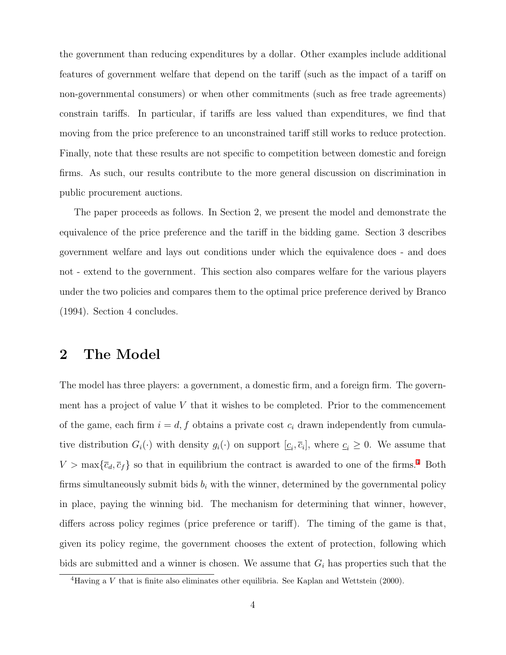the government than reducing expenditures by a dollar. Other examples include additional features of government welfare that depend on the tariff (such as the impact of a tariff on non-governmental consumers) or when other commitments (such as free trade agreements) constrain tariffs. In particular, if tariffs are less valued than expenditures, we find that moving from the price preference to an unconstrained tariff still works to reduce protection. Finally, note that these results are not specific to competition between domestic and foreign firms. As such, our results contribute to the more general discussion on discrimination in public procurement auctions.

The paper proceeds as follows. In Section 2, we present the model and demonstrate the equivalence of the price preference and the tariff in the bidding game. Section 3 describes government welfare and lays out conditions under which the equivalence does - and does not - extend to the government. This section also compares welfare for the various players under the two policies and compares them to the optimal price preference derived by Branco (1994). Section 4 concludes.

### **2 The Model**

The model has three players: a government, a domestic firm, and a foreign firm. The government has a project of value *V* that it wishes to be completed. Prior to the commencement of the game, each firm  $i = d, f$  obtains a private cost  $c_i$  drawn independently from cumulative distribution  $G_i(\cdot)$  with density  $g_i(\cdot)$  on support  $[\underline{c}_i, \overline{c}_i]$ , where  $\underline{c}_i \geq 0$ . We assume that  $V > \max{\{\overline{c}_d, \overline{c}_f\}}$  so that in equilibrium the contract is awarded to one of the firms.<sup>[4](#page-3-0)</sup> Both firms simultaneously submit bids  $b_i$  with the winner, determined by the governmental policy in place, paying the winning bid. The mechanism for determining that winner, however, differs across policy regimes (price preference or tariff). The timing of the game is that, given its policy regime, the government chooses the extent of protection, following which bids are submitted and a winner is chosen. We assume that  $G<sub>i</sub>$  has properties such that the

<span id="page-3-0"></span><sup>&</sup>lt;sup>4</sup>Having a *V* that is finite also eliminates other equilibria. See Kaplan and Wettstein (2000).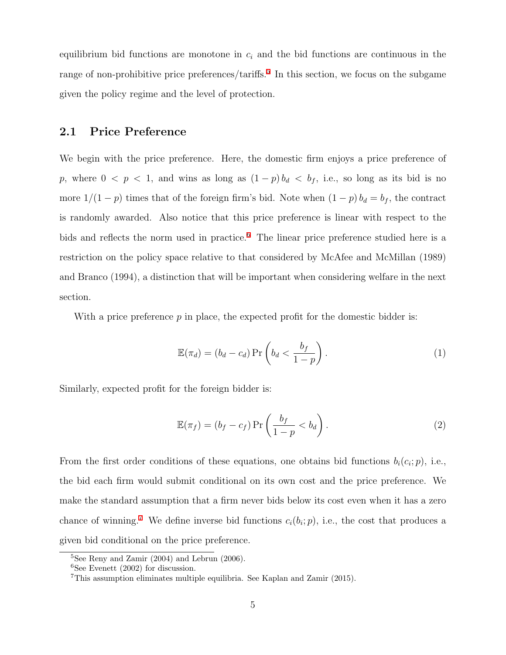equilibrium bid functions are monotone in *c<sup>i</sup>* and the bid functions are continuous in the range of non-prohibitive price preferences/tariffs.<sup>[5](#page-4-0)</sup> In this section, we focus on the subgame given the policy regime and the level of protection.

### **2.1 Price Preference**

We begin with the price preference. Here, the domestic firm enjoys a price preference of *p*, where  $0 < p < 1$ , and wins as long as  $(1-p) b_d < b_f$ , i.e., so long as its bid is no more  $1/(1-p)$  times that of the foreign firm's bid. Note when  $(1-p) b_d = b_f$ , the contract is randomly awarded. Also notice that this price preference is linear with respect to the bids and reflects the norm used in practice.<sup>[6](#page-4-1)</sup> The linear price preference studied here is a restriction on the policy space relative to that considered by McAfee and McMillan (1989) and Branco (1994), a distinction that will be important when considering welfare in the next section.

With a price preference *p* in place, the expected profit for the domestic bidder is:

$$
\mathbb{E}(\pi_d) = (b_d - c_d) \Pr\left(b_d < \frac{b_f}{1 - p}\right). \tag{1}
$$

Similarly, expected profit for the foreign bidder is:

$$
\mathbb{E}(\pi_f) = (b_f - c_f) \Pr\left(\frac{b_f}{1 - p} < b_d\right). \tag{2}
$$

From the first order conditions of these equations, one obtains bid functions  $b_i(c_i; p)$ , i.e., the bid each firm would submit conditional on its own cost and the price preference. We make the standard assumption that a firm never bids below its cost even when it has a zero chance of winning.<sup>[7](#page-4-2)</sup> We define inverse bid functions  $c_i(b_i; p)$ , i.e., the cost that produces a given bid conditional on the price preference.

<span id="page-4-0"></span> $5$ See Reny and Zamir (2004) and Lebrun (2006).

<span id="page-4-1"></span> ${}^{6}$ See Evenett (2002) for discussion.

<span id="page-4-2"></span><sup>7</sup>This assumption eliminates multiple equilibria. See Kaplan and Zamir (2015).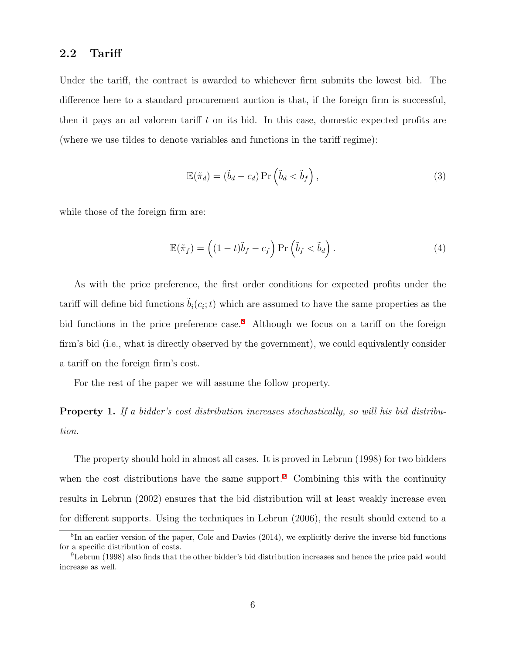### **2.2 Tariff**

Under the tariff, the contract is awarded to whichever firm submits the lowest bid. The difference here to a standard procurement auction is that, if the foreign firm is successful, then it pays an ad valorem tariff *t* on its bid. In this case, domestic expected profits are (where we use tildes to denote variables and functions in the tariff regime):

$$
\mathbb{E}(\tilde{\pi}_d) = (\tilde{b}_d - c_d) \Pr\left(\tilde{b}_d < \tilde{b}_f\right),\tag{3}
$$

while those of the foreign firm are:

$$
\mathbb{E}(\tilde{\pi}_f) = \left( (1-t)\tilde{b}_f - c_f \right) \Pr\left( \tilde{b}_f < \tilde{b}_d \right). \tag{4}
$$

As with the price preference, the first order conditions for expected profits under the tariff will define bid functions  $\tilde{b}_i(c_i; t)$  which are assumed to have the same properties as the bid functions in the price preference case.<sup>[8](#page-5-0)</sup> Although we focus on a tariff on the foreign firm's bid (i.e., what is directly observed by the government), we could equivalently consider a tariff on the foreign firm's cost.

For the rest of the paper we will assume the follow property.

<span id="page-5-2"></span>**Property 1.** *If a bidder's cost distribution increases stochastically, so will his bid distribution.*

The property should hold in almost all cases. It is proved in Lebrun (1998) for two bidders when the cost distributions have the same support.<sup>[9](#page-5-1)</sup> Combining this with the continuity results in Lebrun (2002) ensures that the bid distribution will at least weakly increase even for different supports. Using the techniques in Lebrun (2006), the result should extend to a

<span id="page-5-0"></span><sup>&</sup>lt;sup>8</sup>In an earlier version of the paper, Cole and Davies (2014), we explicitly derive the inverse bid functions for a specific distribution of costs.

<span id="page-5-1"></span><sup>9</sup>Lebrun (1998) also finds that the other bidder's bid distribution increases and hence the price paid would increase as well.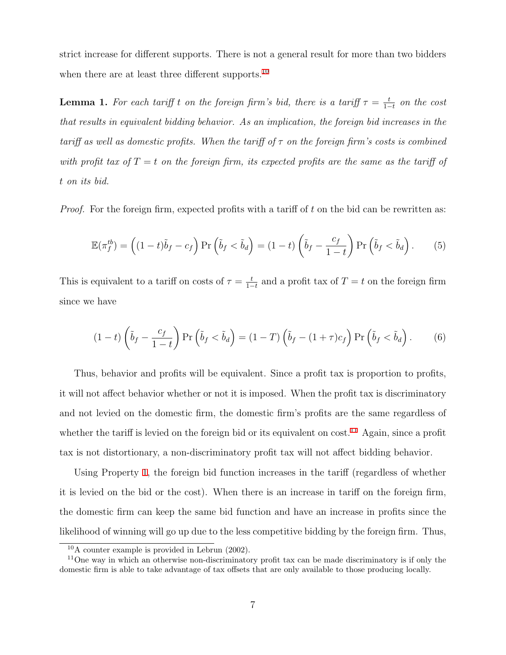strict increase for different supports. There is not a general result for more than two bidders when there are at least three different supports.<sup>[10](#page-6-0)</sup>

<span id="page-6-2"></span>**Lemma 1.** For each tariff t on the foreign firm's bid, there is a tariff  $\tau = \frac{t}{1-t}$ 1*−t on the cost that results in equivalent bidding behavior. As an implication, the foreign bid increases in the tariff as well as domestic profits. When the tariff of τ on the foreign firm's costs is combined with profit tax of*  $T = t$  *on the foreign firm, its expected profits are the same as the tariff of t on its bid.*

*Proof.* For the foreign firm, expected profits with a tariff of t on the bid can be rewritten as:

$$
\mathbb{E}(\pi_f^{tb}) = \left( (1-t)\tilde{b}_f - c_f \right) \Pr\left( \tilde{b}_f < \tilde{b}_d \right) = (1-t) \left( \tilde{b}_f - \frac{c_f}{1-t} \right) \Pr\left( \tilde{b}_f < \tilde{b}_d \right). \tag{5}
$$

This is equivalent to a tariff on costs of  $\tau = \frac{t}{1-t}$  $\frac{t}{1-t}$  and a profit tax of  $T = t$  on the foreign firm since we have

$$
(1-t)\left(\tilde{b}_f - \frac{c_f}{1-t}\right) \Pr\left(\tilde{b}_f < \tilde{b}_d\right) = (1-T)\left(\tilde{b}_f - (1+\tau)c_f\right) \Pr\left(\tilde{b}_f < \tilde{b}_d\right). \tag{6}
$$

Thus, behavior and profits will be equivalent. Since a profit tax is proportion to profits, it will not affect behavior whether or not it is imposed. When the profit tax is discriminatory and not levied on the domestic firm, the domestic firm's profits are the same regardless of whether the tariff is levied on the foreign bid or its equivalent on  $\text{cost}^{11}$  $\text{cost}^{11}$  $\text{cost}^{11}$ . Again, since a profit tax is not distortionary, a non-discriminatory profit tax will not affect bidding behavior.

Using Property [1](#page-5-2), the foreign bid function increases in the tariff (regardless of whether it is levied on the bid or the cost). When there is an increase in tariff on the foreign firm, the domestic firm can keep the same bid function and have an increase in profits since the likelihood of winning will go up due to the less competitive bidding by the foreign firm. Thus,

<span id="page-6-1"></span><span id="page-6-0"></span> $10$ A counter example is provided in Lebrun (2002).

<sup>&</sup>lt;sup>11</sup>One way in which an otherwise non-discriminatory profit tax can be made discriminatory is if only the domestic firm is able to take advantage of tax offsets that are only available to those producing locally.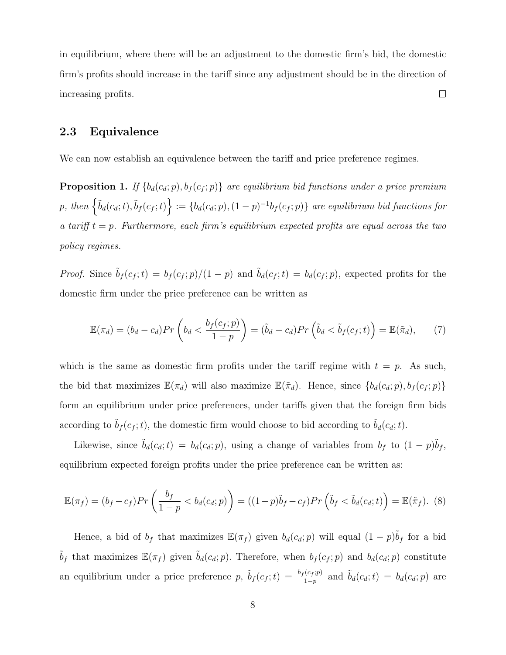in equilibrium, where there will be an adjustment to the domestic firm's bid, the domestic firm's profits should increase in the tariff since any adjustment should be in the direction of increasing profits.  $\Box$ 

### **2.3 Equivalence**

We can now establish an equivalence between the tariff and price preference regimes.

<span id="page-7-0"></span>**Proposition 1.** *If*  $\{b_d(c_d; p), b_f(c_f; p)\}$  *are equilibrium bid functions under a price premium* p, then  $\left\{ \tilde{b}_d(c_d;t), \tilde{b}_f(c_f;t) \right\} := \left\{ b_d(c_d;p), (1-p)^{-1}b_f(c_f;p) \right\}$  are equilibrium bid functions for *a tariff t* = *p. Furthermore, each firm's equilibrium expected profits are equal across the two policy regimes.*

*Proof.* Since  $\tilde{b}_f(c_f; t) = b_f(c_f; p)/(1-p)$  and  $\tilde{b}_d(c_f; t) = b_d(c_f; p)$ , expected profits for the domestic firm under the price preference can be written as

$$
\mathbb{E}(\pi_d) = (b_d - c_d) Pr\left(b_d < \frac{b_f(c_f; p)}{1 - p}\right) = (\tilde{b}_d - c_d) Pr\left(\tilde{b}_d < \tilde{b}_f(c_f; t)\right) = \mathbb{E}(\tilde{\pi}_d),\tag{7}
$$

which is the same as domestic firm profits under the tariff regime with  $t = p$ . As such, the bid that maximizes  $\mathbb{E}(\pi_d)$  will also maximize  $\mathbb{E}(\tilde{\pi}_d)$ . Hence, since  $\{b_d(c_d; p), b_f(c_f; p)\}$ form an equilibrium under price preferences, under tariffs given that the foreign firm bids according to  $\tilde{b}_f(c_f; t)$ , the domestic firm would choose to bid according to  $\tilde{b}_d(c_d; t)$ .

Likewise, since  $\tilde{b}_d(c_d; t) = b_d(c_d; p)$ , using a change of variables from  $b_f$  to  $(1 - p)\tilde{b}_f$ , equilibrium expected foreign profits under the price preference can be written as:

$$
\mathbb{E}(\pi_f) = (b_f - c_f)Pr\left(\frac{b_f}{1-p} < b_d(c_d; p)\right) = ((1-p)\tilde{b}_f - c_f)Pr\left(\tilde{b}_f < \tilde{b}_d(c_d; t)\right) = \mathbb{E}(\tilde{\pi}_f). \tag{8}
$$

Hence, a bid of  $b_f$  that maximizes  $\mathbb{E}(\pi_f)$  given  $b_d(c_d; p)$  will equal  $(1-p)\tilde{b}_f$  for a bid  $\tilde{b}_f$  that maximizes  $\mathbb{E}(\pi_f)$  given  $\tilde{b}_d(c_d;p)$ . Therefore, when  $b_f(c_f;p)$  and  $b_d(c_d;p)$  constitute an equilibrium under a price preference p,  $\tilde{b}_f(c_f;t) = \frac{b_f(c_f;p)}{1-p}$  and  $\tilde{b}_d(c_d;t) = b_d(c_d;p)$  are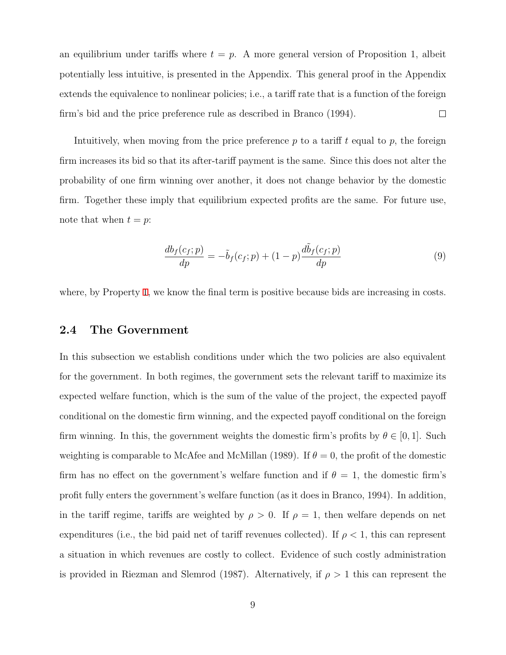an equilibrium under tariffs where  $t = p$ . A more general version of Proposition 1, albeit potentially less intuitive, is presented in the Appendix. This general proof in the Appendix extends the equivalence to nonlinear policies; i.e., a tariff rate that is a function of the foreign firm's bid and the price preference rule as described in Branco (1994).  $\Box$ 

Intuitively, when moving from the price preference *p* to a tariff *t* equal to *p*, the foreign firm increases its bid so that its after-tariff payment is the same. Since this does not alter the probability of one firm winning over another, it does not change behavior by the domestic firm. Together these imply that equilibrium expected profits are the same. For future use, note that when  $t = p$ :

$$
\frac{db_f(c_f;p)}{dp} = -\tilde{b}_f(c_f;p) + (1-p)\frac{d\tilde{b}_f(c_f;p)}{dp} \tag{9}
$$

where, by Property [1,](#page-5-2) we know the final term is positive because bids are increasing in costs.

### **2.4 The Government**

In this subsection we establish conditions under which the two policies are also equivalent for the government. In both regimes, the government sets the relevant tariff to maximize its expected welfare function, which is the sum of the value of the project, the expected payoff conditional on the domestic firm winning, and the expected payoff conditional on the foreign firm winning. In this, the government weights the domestic firm's profits by  $\theta \in [0, 1]$ . Such weighting is comparable to McAfee and McMillan (1989). If  $\theta = 0$ , the profit of the domestic firm has no effect on the government's welfare function and if  $\theta = 1$ , the domestic firm's profit fully enters the government's welfare function (as it does in Branco, 1994). In addition, in the tariff regime, tariffs are weighted by  $\rho > 0$ . If  $\rho = 1$ , then welfare depends on net expenditures (i.e., the bid paid net of tariff revenues collected). If  $\rho < 1$ , this can represent a situation in which revenues are costly to collect. Evidence of such costly administration is provided in Riezman and Slemrod (1987). Alternatively, if  $\rho > 1$  this can represent the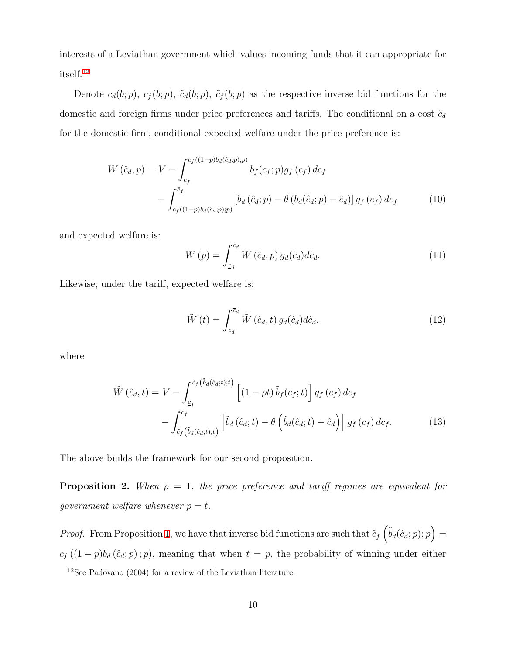interests of a Leviathan government which values incoming funds that it can appropriate for itself.[12](#page-9-0)

Denote  $c_d(b; p)$ ,  $c_f(b; p)$ ,  $\tilde{c}_d(b; p)$ ,  $\tilde{c}_f(b; p)$  as the respective inverse bid functions for the domestic and foreign firms under price preferences and tariffs. The conditional on a cost  $\hat{c}_d$ for the domestic firm, conditional expected welfare under the price preference is:

$$
W\left(\hat{c}_d, p\right) = V - \int_{c_f}^{c_f((1-p)b_d(\hat{c}_d;p);p)} b_f(c_f; p) g_f(c_f) \, dc_f
$$

$$
- \int_{c_f((1-p)b_d(\hat{c}_d;p);p)}^{\bar{c}_f} \left[b_d\left(\hat{c}_d; p\right) - \theta\left(b_d(\hat{c}_d;p) - \hat{c}_d\right)\right] g_f(c_f) \, dc_f \tag{10}
$$

and expected welfare is:

<span id="page-9-1"></span>
$$
W(p) = \int_{\underline{c}_d}^{\overline{c}_d} W(\hat{c}_d, p) g_d(\hat{c}_d) d\hat{c}_d.
$$
 (11)

Likewise, under the tariff, expected welfare is:

<span id="page-9-2"></span>
$$
\tilde{W}(t) = \int_{\underline{c}_d}^{\overline{c}_d} \tilde{W}(\hat{c}_d, t) g_d(\hat{c}_d) d\hat{c}_d.
$$
\n(12)

where

$$
\tilde{W}(\hat{c}_d, t) = V - \int_{c_f}^{\tilde{c}_f(\tilde{b}_d(\hat{c}_d; t); t)} \left[ (1 - \rho t) \tilde{b}_f(c_f; t) \right] g_f(c_f) \, dc_f
$$
\n
$$
- \int_{\tilde{c}_f(\tilde{b}_d(\hat{c}_d; t); t)}^{\bar{c}_f(\tilde{b}_d(\hat{c}_d; t); t)} \left[ \tilde{b}_d(\hat{c}_d; t) - \theta \left( \tilde{b}_d(\hat{c}_d; t) - \hat{c}_d \right) \right] g_f(c_f) \, dc_f. \tag{13}
$$

The above builds the framework for our second proposition.

<span id="page-9-3"></span>**Proposition 2.** *When*  $\rho = 1$ *, the price preference and tariff regimes are equivalent for government welfare whenever*  $p = t$ *.* 

*Proof.* From Proposition [1,](#page-7-0) we have that inverse bid functions are such that  $\tilde{c}_f\left(\tilde{b}_d(\hat{c}_d;p); p\right)$  $c_f((1-p)b_d(\hat{c}_d;p); p)$ , meaning that when  $t = p$ , the probability of winning under either

<span id="page-9-0"></span> $12$ See Padovano (2004) for a review of the Leviathan literature.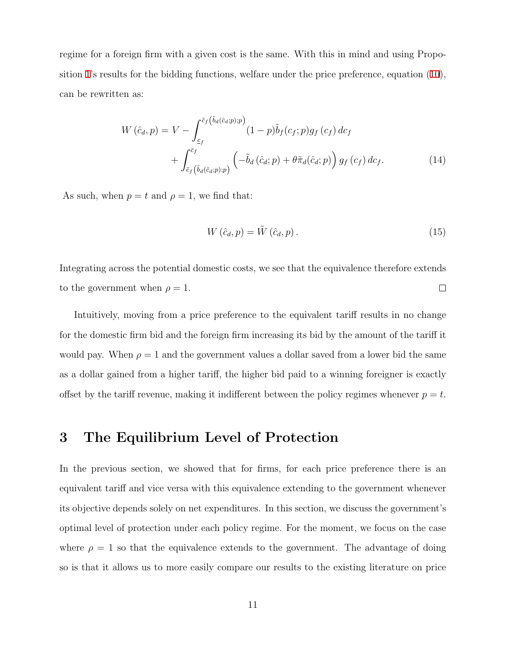regime for a foreign firm with a given cost is the same. With this in mind and using Proposition [1](#page-7-0)'s results for the bidding functions, welfare under the price preference, equation [\(10](#page-9-1)), can be rewritten as:

$$
W\left(\hat{c}_d, p\right) = V - \int_{c_f}^{\tilde{c}_f\left(\tilde{b}_d\left(\hat{c}_d; p\right); p\right)} (1 - p) \tilde{b}_f(c_f; p) g_f\left(c_f\right) d c_f
$$

$$
+ \int_{\tilde{c}_f\left(\tilde{b}_d\left(\hat{c}_d; p\right); p\right)}^{\bar{c}_f} \left(-\tilde{b}_d\left(\hat{c}_d; p\right) + \theta \tilde{\pi}_d\left(\hat{c}_d; p\right)\right) g_f\left(c_f\right) d c_f.
$$
(14)

As such, when  $p = t$  and  $\rho = 1$ , we find that:

$$
W\left(\hat{c}_d, p\right) = \tilde{W}\left(\hat{c}_d, p\right). \tag{15}
$$

Integrating across the potential domestic costs, we see that the equivalence therefore extends  $\Box$ to the government when  $\rho = 1$ .

Intuitively, moving from a price preference to the equivalent tariff results in no change for the domestic firm bid and the foreign firm increasing its bid by the amount of the tariff it would pay. When  $\rho = 1$  and the government values a dollar saved from a lower bid the same as a dollar gained from a higher tariff, the higher bid paid to a winning foreigner is exactly offset by the tariff revenue, making it indifferent between the policy regimes whenever  $p = t$ .

### **3 The Equilibrium Level of Protection**

In the previous section, we showed that for firms, for each price preference there is an equivalent tariff and vice versa with this equivalence extending to the government whenever its objective depends solely on net expenditures. In this section, we discuss the government's optimal level of protection under each policy regime. For the moment, we focus on the case where  $\rho = 1$  so that the equivalence extends to the government. The advantage of doing so is that it allows us to more easily compare our results to the existing literature on price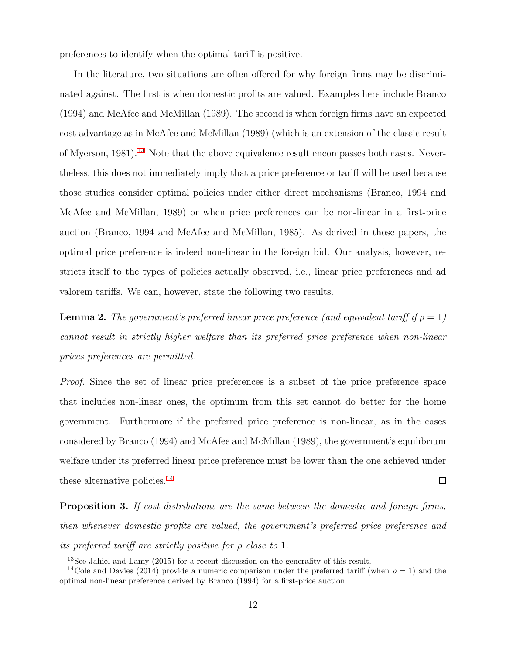preferences to identify when the optimal tariff is positive.

In the literature, two situations are often offered for why foreign firms may be discriminated against. The first is when domestic profits are valued. Examples here include Branco (1994) and McAfee and McMillan (1989). The second is when foreign firms have an expected cost advantage as in McAfee and McMillan (1989) (which is an extension of the classic result of Myerson, 1981).<sup>[13](#page-11-0)</sup> Note that the above equivalence result encompasses both cases. Nevertheless, this does not immediately imply that a price preference or tariff will be used because those studies consider optimal policies under either direct mechanisms (Branco, 1994 and McAfee and McMillan, 1989) or when price preferences can be non-linear in a first-price auction (Branco, 1994 and McAfee and McMillan, 1985). As derived in those papers, the optimal price preference is indeed non-linear in the foreign bid. Our analysis, however, restricts itself to the types of policies actually observed, i.e., linear price preferences and ad valorem tariffs. We can, however, state the following two results.

<span id="page-11-2"></span>**Lemma 2.** *The government's preferred linear price preference (and equivalent tariff if*  $\rho = 1$ ) *cannot result in strictly higher welfare than its preferred price preference when non-linear prices preferences are permitted.*

*Proof.* Since the set of linear price preferences is a subset of the price preference space that includes non-linear ones, the optimum from this set cannot do better for the home government. Furthermore if the preferred price preference is non-linear, as in the cases considered by Branco (1994) and McAfee and McMillan (1989), the government's equilibrium welfare under its preferred linear price preference must be lower than the one achieved under these alternative policies.<sup>[14](#page-11-1)</sup>  $\Box$ 

**Proposition 3.** *If cost distributions are the same between the domestic and foreign firms, then whenever domestic profits are valued, the government's preferred price preference and its preferred tariff are strictly positive for ρ close to* 1*.*

<span id="page-11-1"></span><span id="page-11-0"></span><sup>13</sup>See Jahiel and Lamy (2015) for a recent discussion on the generality of this result.

<sup>&</sup>lt;sup>14</sup>Cole and Davies (2014) provide a numeric comparison under the preferred tariff (when  $\rho = 1$ ) and the optimal non-linear preference derived by Branco (1994) for a first-price auction.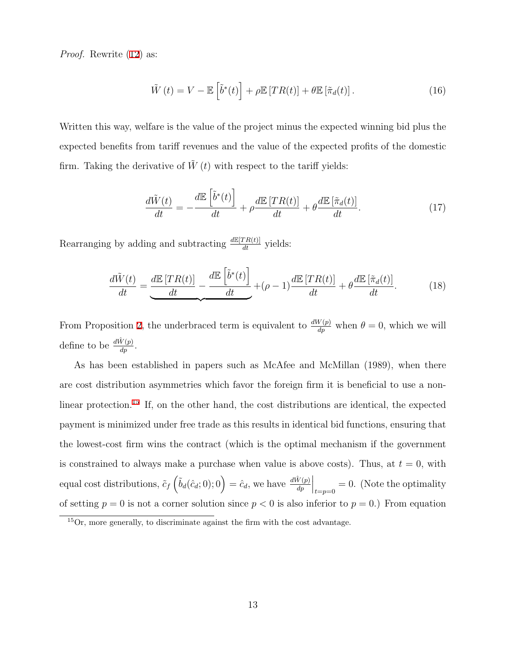*Proof.* Rewrite ([12\)](#page-9-2) as:

$$
\tilde{W}(t) = V - \mathbb{E}\left[\tilde{b}^*(t)\right] + \rho \mathbb{E}\left[TR(t)\right] + \theta \mathbb{E}\left[\tilde{\pi}_d(t)\right].\tag{16}
$$

Written this way, welfare is the value of the project minus the expected winning bid plus the expected benefits from tariff revenues and the value of the expected profits of the domestic firm. Taking the derivative of  $\tilde{W}(t)$  with respect to the tariff yields:

<span id="page-12-2"></span>
$$
\frac{d\tilde{W}(t)}{dt} = -\frac{d\mathbb{E}\left[\tilde{b}^*(t)\right]}{dt} + \rho \frac{d\mathbb{E}\left[TR(t)\right]}{dt} + \theta \frac{d\mathbb{E}\left[\tilde{\pi}_d(t)\right]}{dt}.\tag{17}
$$

Rearranging by adding and subtracting  $\frac{dE[TR(t)]}{dt}$  yields:

<span id="page-12-1"></span>
$$
\frac{d\tilde{W}(t)}{dt} = \underbrace{\frac{d\mathbb{E}\left[TR(t)\right]}{dt} - \frac{d\mathbb{E}\left[\tilde{b}^*(t)\right]}{dt}}_{(18)}
$$
\n
$$
+ (\rho - 1)\frac{d\mathbb{E}\left[TR(t)\right]}{dt} + \theta\frac{d\mathbb{E}\left[\tilde{\pi}_d(t)\right]}{dt}.
$$
\n(18)

From Proposition [2,](#page-9-3) the underbraced term is equivalent to  $\frac{dW(p)}{dp}$  when  $\theta = 0$ , which we will define to be  $\frac{d\hat{W}(p)}{dp}$ .

As has been established in papers such as McAfee and McMillan (1989), when there are cost distribution asymmetries which favor the foreign firm it is beneficial to use a non-linear protection.<sup>[15](#page-12-0)</sup> If, on the other hand, the cost distributions are identical, the expected payment is minimized under free trade as this results in identical bid functions, ensuring that the lowest-cost firm wins the contract (which is the optimal mechanism if the government is constrained to always make a purchase when value is above costs). Thus, at  $t = 0$ , with equal cost distributions,  $\tilde{c}_f\left(\tilde{b}_d(\hat{c}_d; 0); 0\right) = \hat{c}_d$ , we have  $\frac{d\hat{W}(p)}{dp}$  $\Big|_{t=p=0} = 0.$  (Note the optimality of setting  $p = 0$  is not a corner solution since  $p < 0$  is also inferior to  $p = 0$ .) From equation

<span id="page-12-0"></span><sup>15</sup>Or, more generally, to discriminate against the firm with the cost advantage.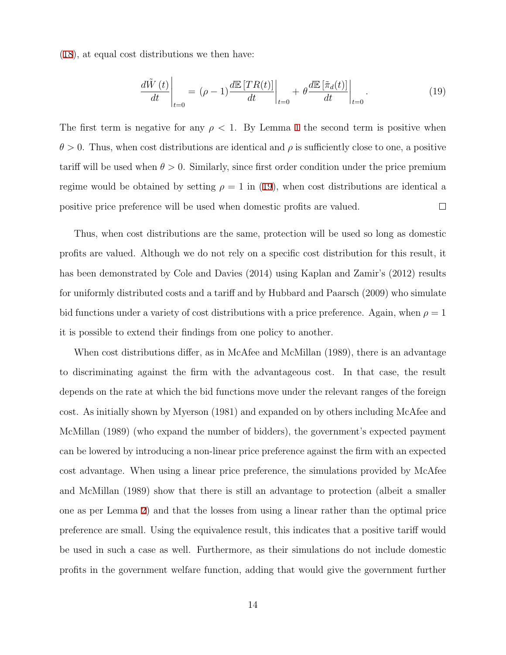([18](#page-12-1)), at equal cost distributions we then have:

<span id="page-13-0"></span>
$$
\frac{d\tilde{W}(t)}{dt}\Big|_{t=0} = (\rho - 1)\frac{d\mathbb{E}\left[TR(t)\right]}{dt}\Big|_{t=0} + \theta \frac{d\mathbb{E}\left[\tilde{\pi}_d(t)\right]}{dt}\Big|_{t=0}.
$$
\n(19)

The first term is negative for any  $\rho < 1$  $\rho < 1$ . By Lemma 1 the second term is positive when  $\theta > 0$ . Thus, when cost distributions are identical and  $\rho$  is sufficiently close to one, a positive tariff will be used when  $\theta > 0$ . Similarly, since first order condition under the price premium regime would be obtained by setting  $\rho = 1$  in ([19\)](#page-13-0), when cost distributions are identical a positive price preference will be used when domestic profits are valued.  $\Box$ 

Thus, when cost distributions are the same, protection will be used so long as domestic profits are valued. Although we do not rely on a specific cost distribution for this result, it has been demonstrated by Cole and Davies (2014) using Kaplan and Zamir's (2012) results for uniformly distributed costs and a tariff and by Hubbard and Paarsch (2009) who simulate bid functions under a variety of cost distributions with a price preference. Again, when  $\rho = 1$ it is possible to extend their findings from one policy to another.

When cost distributions differ, as in McAfee and McMillan (1989), there is an advantage to discriminating against the firm with the advantageous cost. In that case, the result depends on the rate at which the bid functions move under the relevant ranges of the foreign cost. As initially shown by Myerson (1981) and expanded on by others including McAfee and McMillan (1989) (who expand the number of bidders), the government's expected payment can be lowered by introducing a non-linear price preference against the firm with an expected cost advantage. When using a linear price preference, the simulations provided by McAfee and McMillan (1989) show that there is still an advantage to protection (albeit a smaller one as per Lemma [2](#page-11-2)) and that the losses from using a linear rather than the optimal price preference are small. Using the equivalence result, this indicates that a positive tariff would be used in such a case as well. Furthermore, as their simulations do not include domestic profits in the government welfare function, adding that would give the government further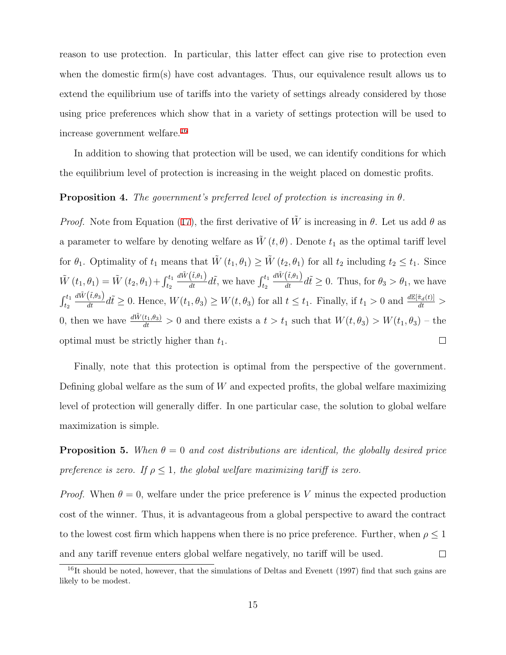reason to use protection. In particular, this latter effect can give rise to protection even when the domestic firm(s) have cost advantages. Thus, our equivalence result allows us to extend the equilibrium use of tariffs into the variety of settings already considered by those using price preferences which show that in a variety of settings protection will be used to increase government welfare.[16](#page-14-0)

In addition to showing that protection will be used, we can identify conditions for which the equilibrium level of protection is increasing in the weight placed on domestic profits.

#### **Proposition 4.** *The government's preferred level of protection is increasing in θ.*

*Proof.* Note from Equation ([17\)](#page-12-2), the first derivative of  $\tilde{W}$  is increasing in  $\theta$ . Let us add  $\theta$  as a parameter to welfare by denoting welfare as  $\tilde{W}(t, \theta)$ . Denote  $t_1$  as the optimal tariff level for  $\theta_1$ . Optimality of  $t_1$  means that  $\tilde{W}(t_1, \theta_1) \geq \tilde{W}(t_2, \theta_1)$  for all  $t_2$  including  $t_2 \leq t_1$ . Since  $\frac{d\tilde{W}(\tilde{t},\theta_1)}{dt}d\tilde{t}$ , we have  $\int_{t_2}^{t_1}$  $\frac{d\tilde{W}(\tilde{t},\theta_1)}{dt}d\tilde{t} \geq 0$ . Thus, for  $\theta_3 > \theta_1$ , we have  $\tilde{W}(t_1, \theta_1) = \tilde{W}(t_2, \theta_1) + \int_{t_2}^{t_1}$  $\frac{d\tilde{W}(\tilde{t},\theta_3)}{dt}d\tilde{t} \geq 0$ . Hence,  $W(t_1,\theta_3) \geq W(t,\theta_3)$  for all  $t \leq t_1$ . Finally, if  $t_1 > 0$  and  $\frac{d\mathbb{E}[\tilde{\pi}_d(t)]}{dt} >$  $\int_{t_2}^{t_1}$ 0, then we have  $\frac{d\tilde{W}(t_1,\theta_3)}{dt} > 0$  and there exists a  $t > t_1$  such that  $W(t,\theta_3) > W(t_1,\theta_3)$  – the optimal must be strictly higher than *t*1.  $\Box$ 

Finally, note that this protection is optimal from the perspective of the government. Defining global welfare as the sum of *W* and expected profits, the global welfare maximizing level of protection will generally differ. In one particular case, the solution to global welfare maximization is simple.

<span id="page-14-1"></span>**Proposition 5.** *When*  $\theta = 0$  *and cost distributions are identical, the globally desired price preference is zero. If*  $\rho \leq 1$ *, the global welfare maximizing tariff is zero.* 

*Proof.* When  $\theta = 0$ , welfare under the price preference is *V* minus the expected production cost of the winner. Thus, it is advantageous from a global perspective to award the contract to the lowest cost firm which happens when there is no price preference. Further, when  $\rho \leq 1$ and any tariff revenue enters global welfare negatively, no tariff will be used.  $\Box$ 

<span id="page-14-0"></span> $16$ It should be noted, however, that the simulations of Deltas and Evenett (1997) find that such gains are likely to be modest.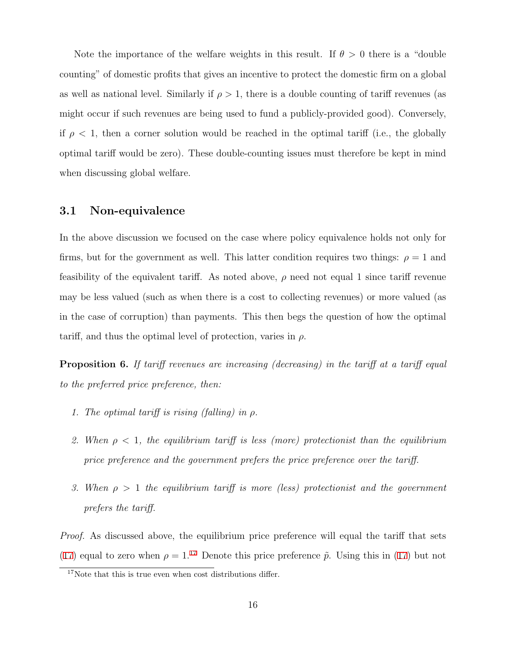Note the importance of the welfare weights in this result. If *θ >* 0 there is a "double counting" of domestic profits that gives an incentive to protect the domestic firm on a global as well as national level. Similarly if  $\rho > 1$ , there is a double counting of tariff revenues (as might occur if such revenues are being used to fund a publicly-provided good). Conversely, if  $\rho$  < 1, then a corner solution would be reached in the optimal tariff (i.e., the globally optimal tariff would be zero). These double-counting issues must therefore be kept in mind when discussing global welfare.

### **3.1 Non-equivalence**

In the above discussion we focused on the case where policy equivalence holds not only for firms, but for the government as well. This latter condition requires two things:  $\rho = 1$  and feasibility of the equivalent tariff. As noted above,  $\rho$  need not equal 1 since tariff revenue may be less valued (such as when there is a cost to collecting revenues) or more valued (as in the case of corruption) than payments. This then begs the question of how the optimal tariff, and thus the optimal level of protection, varies in *ρ*.

**Proposition 6.** *If tariff revenues are increasing (decreasing) in the tariff at a tariff equal to the preferred price preference, then:*

- *1. The optimal tariff is rising (falling) in ρ.*
- 2. When  $\rho < 1$ , the equilibrium tariff is less (more) protectionist than the equilibrium *price preference and the government prefers the price preference over the tariff.*
- *3. When ρ >* 1 *the equilibrium tariff is more (less) protectionist and the government prefers the tariff.*

*Proof.* As discussed above, the equilibrium price preference will equal the tariff that sets ([17](#page-15-0)) equal to zero when  $\rho = 1$ .<sup>17</sup> Denote this price preference  $\tilde{p}$ . Using this in [\(17\)](#page-12-2) but not

<span id="page-15-0"></span><sup>&</sup>lt;sup>17</sup>Note that this is true even when cost distributions differ.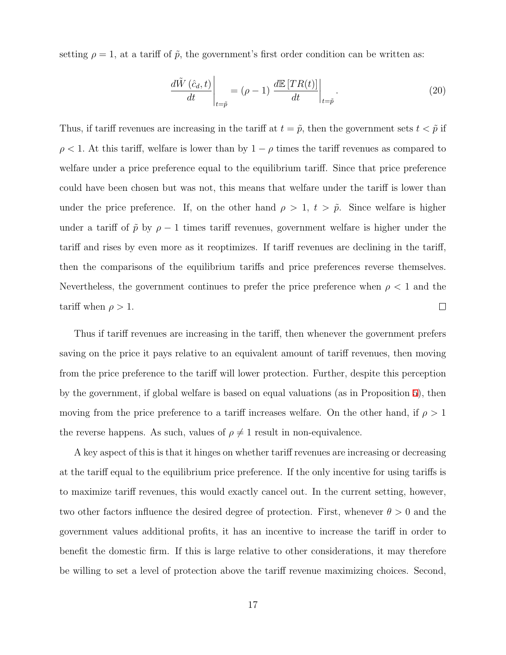setting  $\rho = 1$ , at a tariff of  $\tilde{p}$ , the government's first order condition can be written as:

$$
\left. \frac{d\tilde{W}\left(\hat{c}_d, t\right)}{dt} \right|_{t=\tilde{p}} = \left(\rho - 1\right) \left. \frac{d\mathbb{E}\left[TR(t)\right]}{dt} \right|_{t=\tilde{p}}.\tag{20}
$$

Thus, if tariff revenues are increasing in the tariff at  $t = \tilde{p}$ , then the government sets  $t < \tilde{p}$  if  $\rho$  < 1. At this tariff, welfare is lower than by  $1 - \rho$  times the tariff revenues as compared to welfare under a price preference equal to the equilibrium tariff. Since that price preference could have been chosen but was not, this means that welfare under the tariff is lower than under the price preference. If, on the other hand  $\rho > 1$ ,  $t > \tilde{p}$ . Since welfare is higher under a tariff of  $\tilde{p}$  by  $\rho - 1$  times tariff revenues, government welfare is higher under the tariff and rises by even more as it reoptimizes. If tariff revenues are declining in the tariff, then the comparisons of the equilibrium tariffs and price preferences reverse themselves. Nevertheless, the government continues to prefer the price preference when  $\rho < 1$  and the  $\Box$ tariff when  $\rho > 1$ .

Thus if tariff revenues are increasing in the tariff, then whenever the government prefers saving on the price it pays relative to an equivalent amount of tariff revenues, then moving from the price preference to the tariff will lower protection. Further, despite this perception by the government, if global welfare is based on equal valuations (as in Proposition [5\)](#page-14-1), then moving from the price preference to a tariff increases welfare. On the other hand, if  $\rho > 1$ the reverse happens. As such, values of  $\rho \neq 1$  result in non-equivalence.

A key aspect of this is that it hinges on whether tariff revenues are increasing or decreasing at the tariff equal to the equilibrium price preference. If the only incentive for using tariffs is to maximize tariff revenues, this would exactly cancel out. In the current setting, however, two other factors influence the desired degree of protection. First, whenever  $\theta > 0$  and the government values additional profits, it has an incentive to increase the tariff in order to benefit the domestic firm. If this is large relative to other considerations, it may therefore be willing to set a level of protection above the tariff revenue maximizing choices. Second,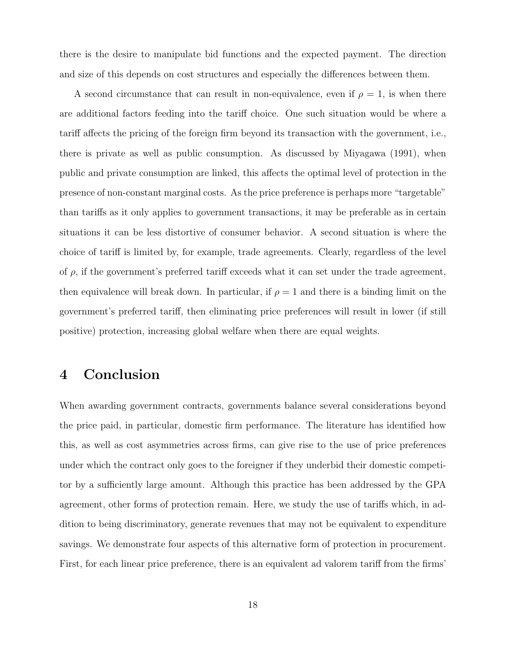there is the desire to manipulate bid functions and the expected payment. The direction and size of this depends on cost structures and especially the differences between them.

A second circumstance that can result in non-equivalence, even if  $\rho = 1$ , is when there are additional factors feeding into the tariff choice. One such situation would be where a tariff affects the pricing of the foreign firm beyond its transaction with the government, i.e., there is private as well as public consumption. As discussed by Miyagawa (1991), when public and private consumption are linked, this affects the optimal level of protection in the presence of non-constant marginal costs. As the price preference is perhaps more "targetable" than tariffs as it only applies to government transactions, it may be preferable as in certain situations it can be less distortive of consumer behavior. A second situation is where the choice of tariff is limited by, for example, trade agreements. Clearly, regardless of the level of  $\rho$ , if the government's preferred tariff exceeds what it can set under the trade agreement, then equivalence will break down. In particular, if  $\rho = 1$  and there is a binding limit on the government's preferred tariff, then eliminating price preferences will result in lower (if still positive) protection, increasing global welfare when there are equal weights.

## **4 Conclusion**

When awarding government contracts, governments balance several considerations beyond the price paid, in particular, domestic firm performance. The literature has identified how this, as well as cost asymmetries across firms, can give rise to the use of price preferences under which the contract only goes to the foreigner if they underbid their domestic competitor by a sufficiently large amount. Although this practice has been addressed by the GPA agreement, other forms of protection remain. Here, we study the use of tariffs which, in addition to being discriminatory, generate revenues that may not be equivalent to expenditure savings. We demonstrate four aspects of this alternative form of protection in procurement. First, for each linear price preference, there is an equivalent ad valorem tariff from the firms'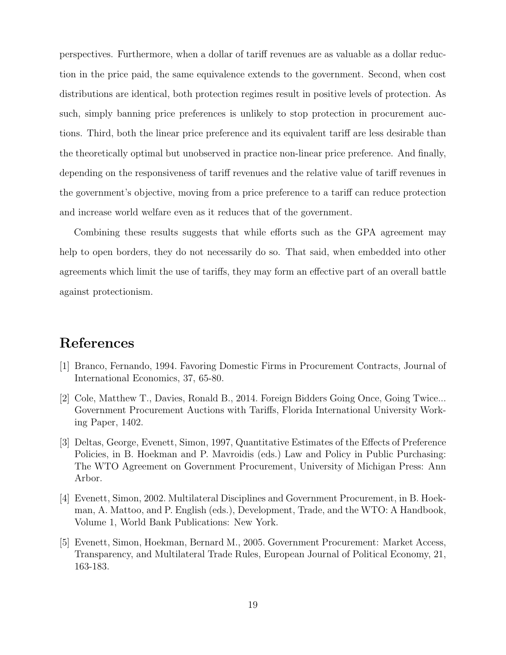perspectives. Furthermore, when a dollar of tariff revenues are as valuable as a dollar reduction in the price paid, the same equivalence extends to the government. Second, when cost distributions are identical, both protection regimes result in positive levels of protection. As such, simply banning price preferences is unlikely to stop protection in procurement auctions. Third, both the linear price preference and its equivalent tariff are less desirable than the theoretically optimal but unobserved in practice non-linear price preference. And finally, depending on the responsiveness of tariff revenues and the relative value of tariff revenues in the government's objective, moving from a price preference to a tariff can reduce protection and increase world welfare even as it reduces that of the government.

Combining these results suggests that while efforts such as the GPA agreement may help to open borders, they do not necessarily do so. That said, when embedded into other agreements which limit the use of tariffs, they may form an effective part of an overall battle against protectionism.

## **References**

- [1] Branco, Fernando, 1994. Favoring Domestic Firms in Procurement Contracts, Journal of International Economics, 37, 65-80.
- [2] Cole, Matthew T., Davies, Ronald B., 2014. Foreign Bidders Going Once, Going Twice... Government Procurement Auctions with Tariffs, Florida International University Working Paper, 1402.
- [3] Deltas, George, Evenett, Simon, 1997, Quantitative Estimates of the Effects of Preference Policies, in B. Hoekman and P. Mavroidis (eds.) Law and Policy in Public Purchasing: The WTO Agreement on Government Procurement, University of Michigan Press: Ann Arbor.
- [4] Evenett, Simon, 2002. Multilateral Disciplines and Government Procurement, in B. Hoekman, A. Mattoo, and P. English (eds.), Development, Trade, and the WTO: A Handbook, Volume 1, World Bank Publications: New York.
- [5] Evenett, Simon, Hoekman, Bernard M., 2005. Government Procurement: Market Access, Transparency, and Multilateral Trade Rules, European Journal of Political Economy, 21, 163-183.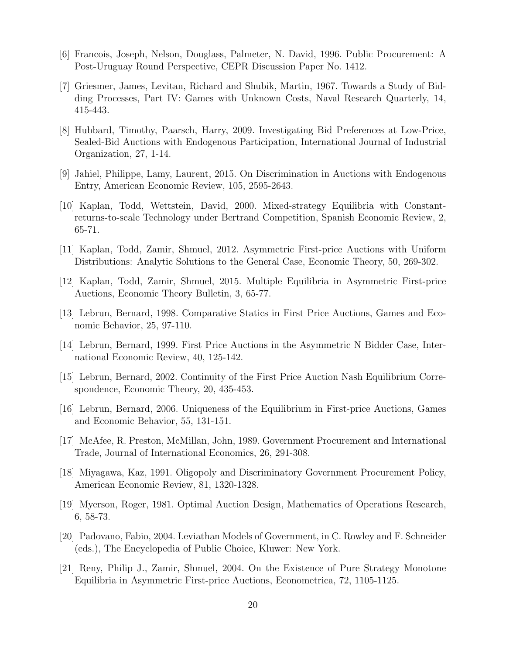- [6] Francois, Joseph, Nelson, Douglass, Palmeter, N. David, 1996. Public Procurement: A Post-Uruguay Round Perspective, CEPR Discussion Paper No. 1412.
- [7] Griesmer, James, Levitan, Richard and Shubik, Martin, 1967. Towards a Study of Bidding Processes, Part IV: Games with Unknown Costs, Naval Research Quarterly, 14, 415-443.
- [8] Hubbard, Timothy, Paarsch, Harry, 2009. Investigating Bid Preferences at Low-Price, Sealed-Bid Auctions with Endogenous Participation, International Journal of Industrial Organization, 27, 1-14.
- [9] Jahiel, Philippe, Lamy, Laurent, 2015. On Discrimination in Auctions with Endogenous Entry, American Economic Review, 105, 2595-2643.
- [10] Kaplan, Todd, Wettstein, David, 2000. Mixed-strategy Equilibria with Constantreturns-to-scale Technology under Bertrand Competition, Spanish Economic Review, 2, 65-71.
- [11] Kaplan, Todd, Zamir, Shmuel, 2012. Asymmetric First-price Auctions with Uniform Distributions: Analytic Solutions to the General Case, Economic Theory, 50, 269-302.
- [12] Kaplan, Todd, Zamir, Shmuel, 2015. Multiple Equilibria in Asymmetric First-price Auctions, Economic Theory Bulletin, 3, 65-77.
- [13] Lebrun, Bernard, 1998. Comparative Statics in First Price Auctions, Games and Economic Behavior, 25, 97-110.
- [14] Lebrun, Bernard, 1999. First Price Auctions in the Asymmetric N Bidder Case, International Economic Review, 40, 125-142.
- [15] Lebrun, Bernard, 2002. Continuity of the First Price Auction Nash Equilibrium Correspondence, Economic Theory, 20, 435-453.
- [16] Lebrun, Bernard, 2006. Uniqueness of the Equilibrium in First-price Auctions, Games and Economic Behavior, 55, 131-151.
- [17] McAfee, R. Preston, McMillan, John, 1989. Government Procurement and International Trade, Journal of International Economics, 26, 291-308.
- [18] Miyagawa, Kaz, 1991. Oligopoly and Discriminatory Government Procurement Policy, American Economic Review, 81, 1320-1328.
- [19] Myerson, Roger, 1981. Optimal Auction Design, Mathematics of Operations Research, 6, 58-73.
- [20] Padovano, Fabio, 2004. Leviathan Models of Government, in C. Rowley and F. Schneider (eds.), The Encyclopedia of Public Choice, Kluwer: New York.
- [21] Reny, Philip J., Zamir, Shmuel, 2004. On the Existence of Pure Strategy Monotone Equilibria in Asymmetric First-price Auctions, Econometrica, 72, 1105-1125.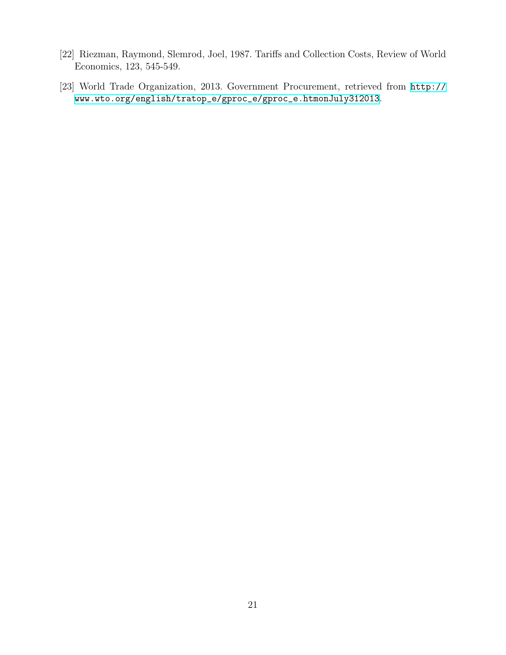- [22] Riezman, Raymond, Slemrod, Joel, 1987. Tariffs and Collection Costs, Review of World Economics, 123, 545-549.
- [23] World Trade Organization, 2013. Government Procurement, retrieved from [http://](http://www.wto.org/english/tratop_e/gproc_e/gproc_e.htm on July 31 2013) [www.wto.org/english/tratop\\_e/gproc\\_e/gproc\\_e.htmonJuly312013](http://www.wto.org/english/tratop_e/gproc_e/gproc_e.htm on July 31 2013).